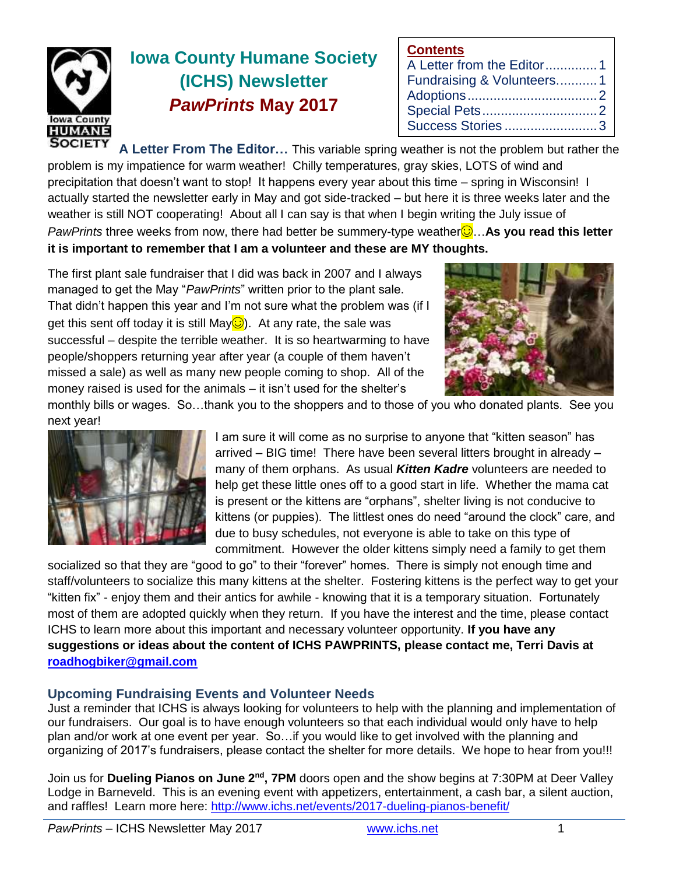

# **Iowa County Humane Society (ICHS) Newsletter** *PawPrints* **May 2017**

| <b>Contents</b>           |  |
|---------------------------|--|
| A Letter from the Editor1 |  |
| Fundraising & Volunteers1 |  |
|                           |  |
|                           |  |
| Success Stories3          |  |

**SOCIETY A Letter From The Editor…** This variable spring weather is not the problem but rather the problem is my impatience for warm weather! Chilly temperatures, gray skies, LOTS of wind and precipitation that doesn't want to stop! It happens every year about this time – spring in Wisconsin! I actually started the newsletter early in May and got side-tracked – but here it is three weeks later and the weather is still NOT cooperating! About all I can say is that when I begin writing the July issue of *PawPrints* three weeks from now, there had better be summery-type weather☺…**As you read this letter it is important to remember that I am a volunteer and these are MY thoughts.**

The first plant sale fundraiser that I did was back in 2007 and I always managed to get the May "*PawPrints*" written prior to the plant sale. That didn't happen this year and I'm not sure what the problem was (if I get this sent off today it is still May $\bigcirc$ ). At any rate, the sale was successful – despite the terrible weather. It is so heartwarming to have people/shoppers returning year after year (a couple of them haven't missed a sale) as well as many new people coming to shop. All of the money raised is used for the animals – it isn't used for the shelter's



monthly bills or wages. So…thank you to the shoppers and to those of you who donated plants. See you next year!



I am sure it will come as no surprise to anyone that "kitten season" has arrived – BIG time! There have been several litters brought in already – many of them orphans. As usual *Kitten Kadre* volunteers are needed to help get these little ones off to a good start in life. Whether the mama cat is present or the kittens are "orphans", shelter living is not conducive to kittens (or puppies). The littlest ones do need "around the clock" care, and due to busy schedules, not everyone is able to take on this type of commitment. However the older kittens simply need a family to get them

socialized so that they are "good to go" to their "forever" homes. There is simply not enough time and staff/volunteers to socialize this many kittens at the shelter. Fostering kittens is the perfect way to get your "kitten fix" - enjoy them and their antics for awhile - knowing that it is a temporary situation. Fortunately most of them are adopted quickly when they return. If you have the interest and the time, please contact ICHS to learn more about this important and necessary volunteer opportunity. **If you have any suggestions or ideas about the content of ICHS PAWPRINTS, please contact me, Terri Davis at [roadhogbiker@gmail.com](mailto:roadhogbiker@gmail.com)**

#### **Upcoming Fundraising Events and Volunteer Needs**

Just a reminder that ICHS is always looking for volunteers to help with the planning and implementation of our fundraisers. Our goal is to have enough volunteers so that each individual would only have to help plan and/or work at one event per year. So…if you would like to get involved with the planning and organizing of 2017's fundraisers, please contact the shelter for more details. We hope to hear from you!!!

Join us for Dueling Pianos on June 2<sup>nd</sup>, 7PM doors open and the show begins at 7:30PM at Deer Valley Lodge in Barneveld. This is an evening event with appetizers, entertainment, a cash bar, a silent auction, and raffles! Learn more here:<http://www.ichs.net/events/2017-dueling-pianos-benefit/>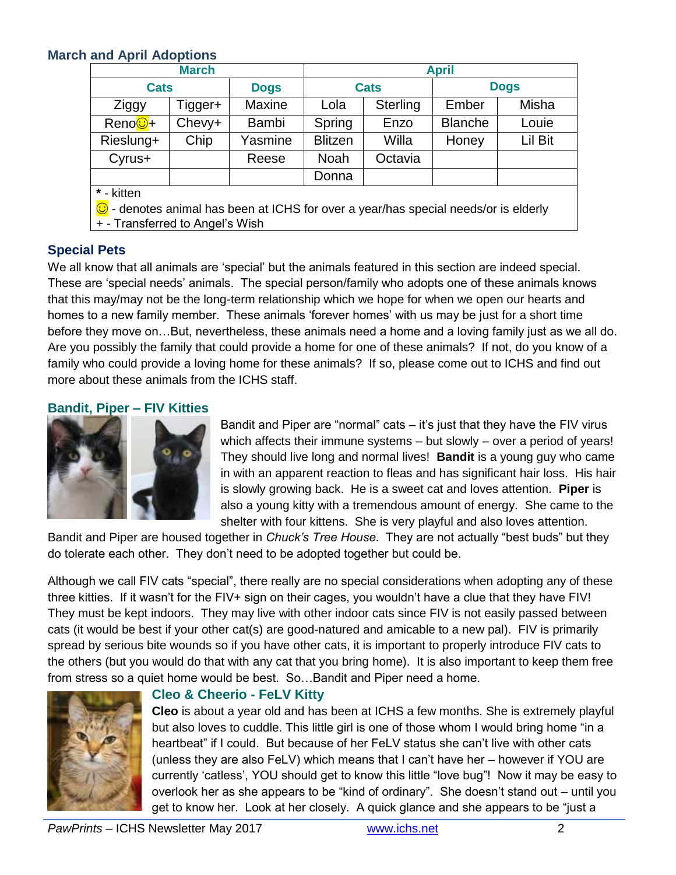# **March and April Adoptions**

| <b>March</b>                                                                                 |         |             | <b>April</b>   |          |                |         |  |  |
|----------------------------------------------------------------------------------------------|---------|-------------|----------------|----------|----------------|---------|--|--|
| <b>Cats</b>                                                                                  |         | <b>Dogs</b> | <b>Cats</b>    |          | <b>Dogs</b>    |         |  |  |
| Ziggy                                                                                        | Tigger+ | Maxine      | Lola           | Sterling | Ember          | Misha   |  |  |
| Reno <mark>⊙</mark> +                                                                        | Chevy+  | Bambi       | Spring         | Enzo     | <b>Blanche</b> | Louie   |  |  |
| Rieslung+                                                                                    | Chip    | Yasmine     | <b>Blitzen</b> | Willa    | Honey          | Lil Bit |  |  |
| Cyrus+                                                                                       |         | Reese       | Noah           | Octavia  |                |         |  |  |
|                                                                                              |         |             | Donna          |          |                |         |  |  |
| * - kitten                                                                                   |         |             |                |          |                |         |  |  |
| $\bigcirc$ - denotes animal has been at ICHS for over a year/has special needs/or is elderly |         |             |                |          |                |         |  |  |
| + - Transferred to Angel's Wish                                                              |         |             |                |          |                |         |  |  |

## **Special Pets**

We all know that all animals are 'special' but the animals featured in this section are indeed special. These are 'special needs' animals. The special person/family who adopts one of these animals knows that this may/may not be the long-term relationship which we hope for when we open our hearts and homes to a new family member. These animals 'forever homes' with us may be just for a short time before they move on…But, nevertheless, these animals need a home and a loving family just as we all do. Are you possibly the family that could provide a home for one of these animals? If not, do you know of a family who could provide a loving home for these animals? If so, please come out to ICHS and find out more about these animals from the ICHS staff.

## **Bandit, Piper – FIV Kitties**



Bandit and Piper are "normal" cats – it's just that they have the FIV virus which affects their immune systems – but slowly – over a period of years! They should live long and normal lives! **Bandit** is a young guy who came in with an apparent reaction to fleas and has significant hair loss. His hair is slowly growing back. He is a sweet cat and loves attention. **Piper** is also a young kitty with a tremendous amount of energy. She came to the shelter with four kittens. She is very playful and also loves attention.

Bandit and Piper are housed together in *Chuck's Tree House*. They are not actually "best buds" but they do tolerate each other. They don't need to be adopted together but could be.

Although we call FIV cats "special", there really are no special considerations when adopting any of these three kitties. If it wasn't for the FIV+ sign on their cages, you wouldn't have a clue that they have FIV! They must be kept indoors. They may live with other indoor cats since FIV is not easily passed between cats (it would be best if your other cat(s) are good-natured and amicable to a new pal). FIV is primarily spread by serious bite wounds so if you have other cats, it is important to properly introduce FIV cats to the others (but you would do that with any cat that you bring home). It is also important to keep them free from stress so a quiet home would be best. So…Bandit and Piper need a home.



#### **Cleo & Cheerio - FeLV Kitty**

**Cleo** is about a year old and has been at ICHS a few months. She is extremely playful but also loves to cuddle. This little girl is one of those whom I would bring home "in a heartbeat" if I could. But because of her FeLV status she can't live with other cats (unless they are also FeLV) which means that I can't have her – however if YOU are currently 'catless', YOU should get to know this little "love bug"! Now it may be easy to overlook her as she appears to be "kind of ordinary". She doesn't stand out – until you get to know her. Look at her closely. A quick glance and she appears to be "just a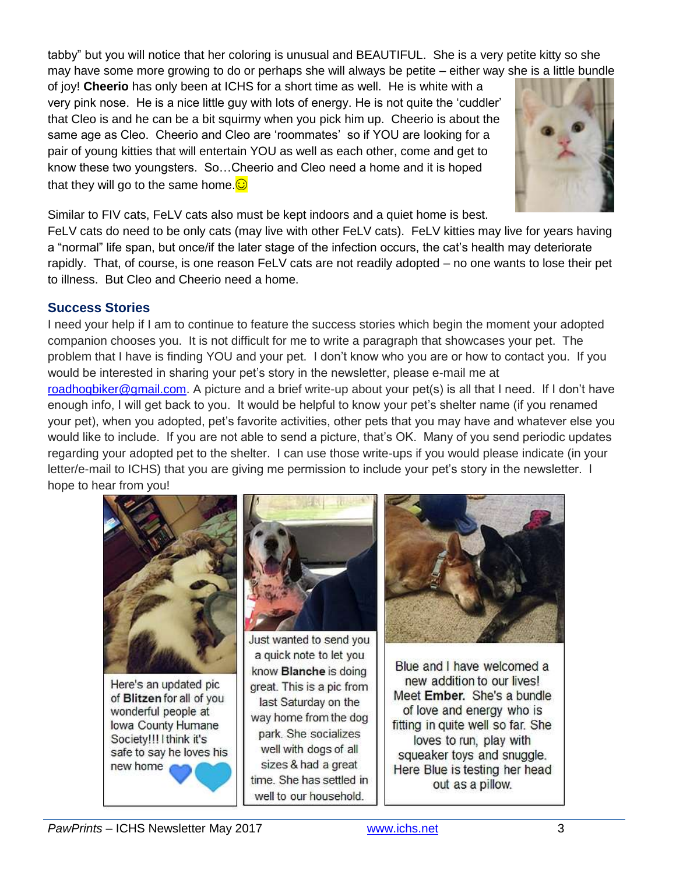tabby" but you will notice that her coloring is unusual and BEAUTIFUL. She is a very petite kitty so she may have some more growing to do or perhaps she will always be petite – either way she is a little bundle

of joy! **Cheerio** has only been at ICHS for a short time as well. He is white with a very pink nose. He is a nice little guy with lots of energy. He is not quite the 'cuddler' that Cleo is and he can be a bit squirmy when you pick him up. Cheerio is about the same age as Cleo. Cheerio and Cleo are 'roommates' so if YOU are looking for a pair of young kitties that will entertain YOU as well as each other, come and get to know these two youngsters. So…Cheerio and Cleo need a home and it is hoped that they will go to the same home. $\odot$ 



Similar to FIV cats, FeLV cats also must be kept indoors and a quiet home is best.

FeLV cats do need to be only cats (may live with other FeLV cats). FeLV kitties may live for years having a "normal" life span, but once/if the later stage of the infection occurs, the cat's health may deteriorate rapidly. That, of course, is one reason FeLV cats are not readily adopted – no one wants to lose their pet to illness. But Cleo and Cheerio need a home.

# **Success Stories**

I need your help if I am to continue to feature the success stories which begin the moment your adopted companion chooses you. It is not difficult for me to write a paragraph that showcases your pet. The problem that I have is finding YOU and your pet. I don't know who you are or how to contact you. If you would be interested in sharing your pet's story in the newsletter, please e-mail me at [roadhogbiker@gmail.com.](mailto:roadhogbiker@gmail.com) A picture and a brief write-up about your pet(s) is all that I need. If I don't have enough info, I will get back to you. It would be helpful to know your pet's shelter name (if you renamed your pet), when you adopted, pet's favorite activities, other pets that you may have and whatever else you would like to include. If you are not able to send a picture, that's OK. Many of you send periodic updates regarding your adopted pet to the shelter. I can use those write-ups if you would please indicate (in your letter/e-mail to ICHS) that you are giving me permission to include your pet's story in the newsletter. I hope to hear from you!



Here's an updated pic of Blitzen for all of you wonderful people at Iowa County Humane Society!!! I think it's safe to say he loves his new home



Just wanted to send you a quick note to let you know Blanche is doing great. This is a pic from last Saturday on the way home from the dog park. She socializes well with dogs of all sizes & had a great time. She has settled in well to our household.



Blue and I have welcomed a new addition to our lives! Meet Ember. She's a bundle of love and energy who is fitting in quite well so far. She loves to run, play with squeaker toys and snuggle. Here Blue is testing her head out as a pillow.